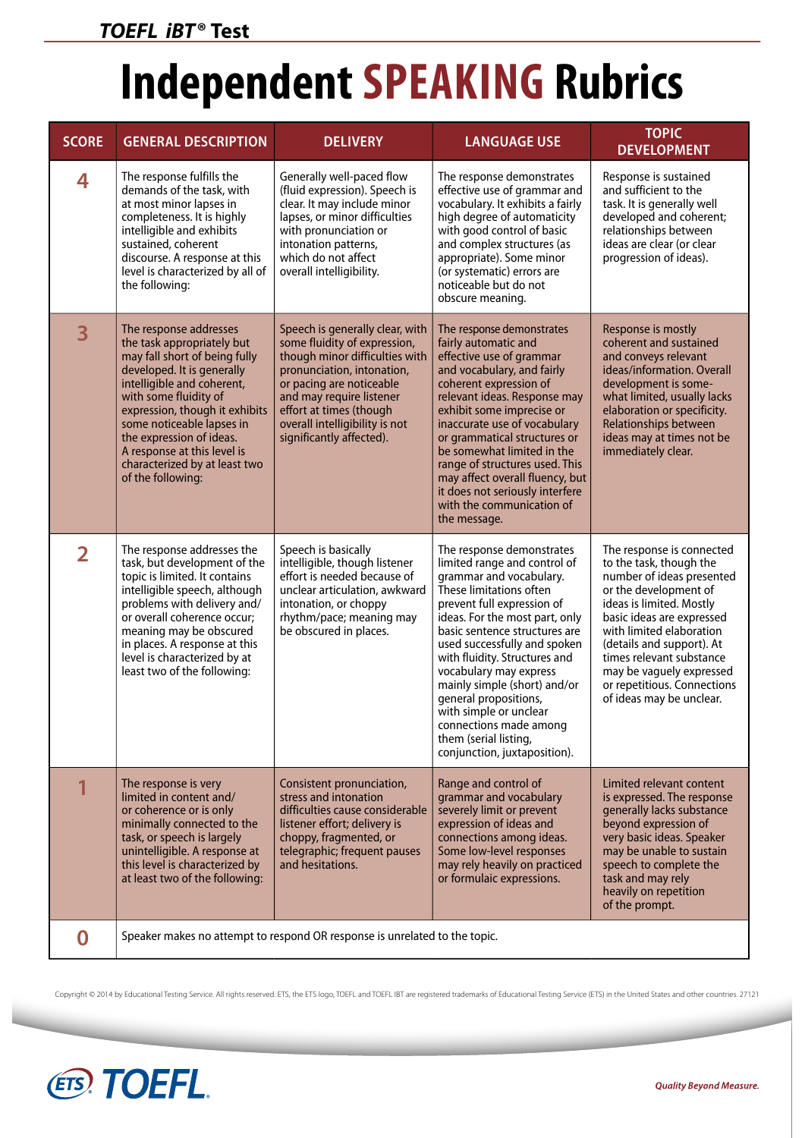## **Independent SPEAKING Rubrics**

| <b>SCORE</b>   | <b>GENERAL DESCRIPTION</b>                                                                                                                                                                                                                                                                                                                                 | <b>DELIVERY</b>                                                                                                                                                                                                                                                                  | <b>LANGUAGE USE</b>                                                                                                                                                                                                                                                                                                                                                                                                                                                               | <b>TOPIC</b><br><b>DEVELOPMENT</b>                                                                                                                                                                                                                                                                                                              |  |
|----------------|------------------------------------------------------------------------------------------------------------------------------------------------------------------------------------------------------------------------------------------------------------------------------------------------------------------------------------------------------------|----------------------------------------------------------------------------------------------------------------------------------------------------------------------------------------------------------------------------------------------------------------------------------|-----------------------------------------------------------------------------------------------------------------------------------------------------------------------------------------------------------------------------------------------------------------------------------------------------------------------------------------------------------------------------------------------------------------------------------------------------------------------------------|-------------------------------------------------------------------------------------------------------------------------------------------------------------------------------------------------------------------------------------------------------------------------------------------------------------------------------------------------|--|
| 4              | The response fulfills the<br>demands of the task, with<br>at most minor lapses in<br>completeness. It is highly<br>intelligible and exhibits<br>sustained, coherent<br>discourse. A response at this<br>level is characterized by all of<br>the following:                                                                                                 | Generally well-paced flow<br>(fluid expression). Speech is<br>clear. It may include minor<br>lapses, or minor difficulties<br>with pronunciation or<br>intonation patterns,<br>which do not affect<br>overall intelligibility.                                                   | The response demonstrates<br>effective use of grammar and<br>vocabulary. It exhibits a fairly<br>high degree of automaticity<br>with good control of basic<br>and complex structures (as<br>appropriate). Some minor<br>(or systematic) errors are<br>noticeable but do not<br>obscure meaning.                                                                                                                                                                                   | Response is sustained<br>and sufficient to the<br>task. It is generally well<br>developed and coherent;<br>relationships between<br>ideas are clear (or clear<br>progression of ideas).                                                                                                                                                         |  |
| 3              | The response addresses<br>the task appropriately but<br>may fall short of being fully<br>developed. It is generally<br>intelligible and coherent,<br>with some fluidity of<br>expression, though it exhibits<br>some noticeable lapses in<br>the expression of ideas.<br>A response at this level is<br>characterized by at least two<br>of the following: | Speech is generally clear, with<br>some fluidity of expression,<br>though minor difficulties with<br>pronunciation, intonation,<br>or pacing are noticeable<br>and may require listener<br>effort at times (though<br>overall intelligibility is not<br>significantly affected). | The response demonstrates<br>fairly automatic and<br>effective use of grammar<br>and vocabulary, and fairly<br>coherent expression of<br>relevant ideas. Response may<br>exhibit some imprecise or<br>inaccurate use of vocabulary<br>or grammatical structures or<br>be somewhat limited in the<br>range of structures used. This<br>may affect overall fluency, but<br>it does not seriously interfere<br>with the communication of<br>the message.                             | Response is mostly<br>coherent and sustained<br>and conveys relevant<br>ideas/information. Overall<br>development is some-<br>what limited, usually lacks<br>elaboration or specificity.<br>Relationships between<br>ideas may at times not be<br>immediately clear.                                                                            |  |
| $\overline{2}$ | The response addresses the<br>task, but development of the<br>topic is limited. It contains<br>intelligible speech, although<br>problems with delivery and/<br>or overall coherence occur;<br>meaning may be obscured<br>in places. A response at this<br>level is characterized by at<br>least two of the following:                                      | Speech is basically<br>intelligible, though listener<br>effort is needed because of<br>unclear articulation, awkward<br>intonation, or choppy<br>rhythm/pace; meaning may<br>be obscured in places.                                                                              | The response demonstrates<br>limited range and control of<br>grammar and vocabulary.<br>These limitations often<br>prevent full expression of<br>ideas. For the most part, only<br>basic sentence structures are<br>used successfully and spoken<br>with fluidity. Structures and<br>vocabulary may express<br>mainly simple (short) and/or<br>general propositions,<br>with simple or unclear<br>connections made among<br>them (serial listing,<br>conjunction, juxtaposition). | The response is connected<br>to the task, though the<br>number of ideas presented<br>or the development of<br>ideas is limited. Mostly<br>basic ideas are expressed<br>with limited elaboration<br>(details and support). At<br>times relevant substance<br>may be vaguely expressed<br>or repetitious. Connections<br>of ideas may be unclear. |  |
|                | The response is very<br>limited in content and/<br>or coherence or is only<br>minimally connected to the<br>task, or speech is largely<br>unintelligible. A response at<br>this level is characterized by<br>at least two of the following:                                                                                                                | Consistent pronunciation,<br>stress and intonation<br>difficulties cause considerable<br>listener effort; delivery is<br>choppy, fragmented, or<br>telegraphic; frequent pauses<br>and hesitations.                                                                              | Range and control of<br>grammar and vocabulary<br>severely limit or prevent<br>expression of ideas and<br>connections among ideas.<br>Some low-level responses<br>may rely heavily on practiced<br>or formulaic expressions.                                                                                                                                                                                                                                                      | Limited relevant content<br>is expressed. The response<br>generally lacks substance<br>beyond expression of<br>very basic ideas. Speaker<br>may be unable to sustain<br>speech to complete the<br>task and may rely<br>heavily on repetition<br>of the prompt.                                                                                  |  |
| O              | Speaker makes no attempt to respond OR response is unrelated to the topic.                                                                                                                                                                                                                                                                                 |                                                                                                                                                                                                                                                                                  |                                                                                                                                                                                                                                                                                                                                                                                                                                                                                   |                                                                                                                                                                                                                                                                                                                                                 |  |

Copyright © 2014 by Educational Testing Service. All rights reserved. ETS, the ETS logo, TOEFL and TOEFL IBT are registered trademarks of Educational Testing Service (ETS) in the United States and other countries. 27121